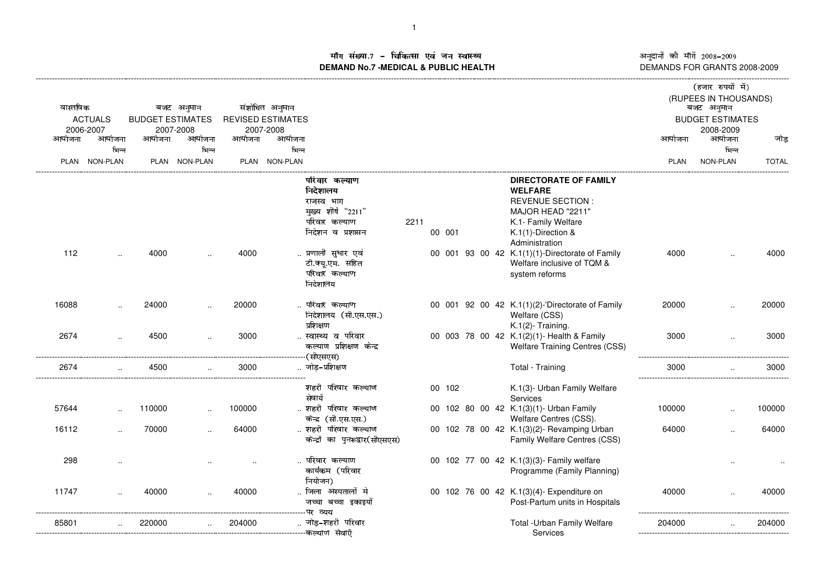ाँग संख्या.7 – चिकित्सा एवं जन स्वास्थ्य<br>IAND No.7 -MEDICAL & DURLIC HEALTH **DEMAND No.7 -MEDICAL & PUBLIC HEALTH**

अनुदानों की माँगें 2008–2009<br>DEMANDS FOR GRANTS 2008-2009

|                            |                      |                                      |               |                                            |               |                                                       |      |        |  |                                                                            | (हजार रुपयों में)                     |                       |              |  |
|----------------------------|----------------------|--------------------------------------|---------------|--------------------------------------------|---------------|-------------------------------------------------------|------|--------|--|----------------------------------------------------------------------------|---------------------------------------|-----------------------|--------------|--|
|                            |                      |                                      |               |                                            |               |                                                       |      |        |  |                                                                            |                                       | (RUPEES IN THOUSANDS) |              |  |
| वास्तविक<br><b>ACTUALS</b> |                      | बजट अनुमान                           |               | संशोधित अनुमान<br><b>REVISED ESTIMATES</b> |               |                                                       |      |        |  |                                                                            | बजट अनुमान<br><b>BUDGET ESTIMATES</b> |                       |              |  |
| 2006-2007                  |                      | <b>BUDGET ESTIMATES</b><br>2007-2008 |               |                                            | 2007-2008     |                                                       |      |        |  |                                                                            |                                       | 2008-2009             |              |  |
| आयोजना                     | आयोजना               | आयोजना                               | आयोजना        | आयोजना                                     | आयोजना        |                                                       |      |        |  |                                                                            | आयोजना                                | आयोजना                | जोड          |  |
|                            | भिन्न                |                                      | भिन्न         |                                            | भिन्न         |                                                       |      |        |  |                                                                            |                                       | भिन्न                 |              |  |
|                            | PLAN NON-PLAN        |                                      | PLAN NON-PLAN |                                            | PLAN NON-PLAN |                                                       |      |        |  |                                                                            | PLAN                                  | NON-PLAN              | <b>TOTAL</b> |  |
|                            |                      |                                      |               |                                            |               | परिवार कल्याण<br>निदेशालय                             |      |        |  | DIRECTORATE OF FAMILY<br><b>WELFARE</b>                                    |                                       |                       |              |  |
|                            |                      |                                      |               |                                            |               | राजस्व भाग<br>मुख्य शीर्ष "2211"                      |      |        |  | <b>REVENUE SECTION:</b><br>MAJOR HEAD "2211"                               |                                       |                       |              |  |
|                            |                      |                                      |               |                                            |               | परिवार कल्याण                                         | 2211 |        |  | K.1- Family Welfare                                                        |                                       |                       |              |  |
|                            |                      |                                      |               |                                            |               | निदेशन व प्रशासन                                      |      | 00 001 |  | K.1(1)-Direction &                                                         |                                       |                       |              |  |
|                            |                      |                                      |               |                                            |               |                                                       |      |        |  | Administration                                                             |                                       |                       |              |  |
| 112                        |                      | 4000                                 |               | 4000                                       |               | प्रणाली सुधार एवं                                     |      |        |  | 00 001 93 00 42 K.1(1)(1)-Directorate of Family                            | 4000                                  |                       | 4000         |  |
|                            |                      |                                      |               |                                            |               | टी.क्यू.एम. सहित<br>परिवार कल्याण                     |      |        |  | Welfare inclusive of TQM &<br>system reforms                               |                                       |                       |              |  |
|                            |                      |                                      |               |                                            |               | निदेशालय                                              |      |        |  |                                                                            |                                       |                       |              |  |
|                            |                      |                                      |               |                                            |               |                                                       |      |        |  |                                                                            |                                       |                       |              |  |
| 16088                      |                      | 24000                                |               | 20000                                      |               | . परिवार कल्याण                                       |      |        |  | 00 001 92 00 42 K.1(1)(2)-'Directorate of Family                           | 20000                                 |                       | 20000        |  |
|                            |                      |                                      |               |                                            |               | निदेशालय (सी.एस.एस.)                                  |      |        |  | Welfare (CSS)                                                              |                                       |                       |              |  |
|                            |                      |                                      |               |                                            |               | प्रशिक्षण                                             |      |        |  | K.1(2)- Training.                                                          |                                       |                       |              |  |
| 2674                       | $\ddot{\phantom{a}}$ | 4500                                 |               | 3000                                       |               | स्वास्थ्य व परिवार<br>कल्याण प्रशिक्षण केन्द्र        |      |        |  | 00 003 78 00 42 K.1(2)(1)- Health & Family                                 | 3000                                  |                       | 3000         |  |
|                            |                      |                                      |               |                                            |               | (सीएसएस)                                              |      |        |  | <b>Welfare Training Centres (CSS)</b>                                      |                                       |                       |              |  |
| 2674                       | $\cdot$              | 4500                                 |               | 3000                                       |               | जोड–प्रशिक्षण                                         |      |        |  | Total - Training                                                           | 3000                                  |                       | 3000         |  |
|                            |                      |                                      |               |                                            |               |                                                       |      |        |  |                                                                            |                                       |                       |              |  |
|                            |                      |                                      |               |                                            |               | शहरी परिवार कल्याण                                    |      | 00 102 |  | K.1(3)- Urban Family Welfare                                               |                                       |                       |              |  |
|                            |                      |                                      |               |                                            |               | सेवायेँ                                               |      |        |  | Services                                                                   |                                       |                       |              |  |
| 57644                      |                      | 110000                               |               | 100000                                     |               | शहरी परिवार कल्याण                                    |      |        |  | 00 102 80 00 42 K.1(3)(1)- Urban Family                                    | 100000                                |                       | 100000       |  |
|                            |                      |                                      |               |                                            |               | केन्द्र (सी.एस.एस.)                                   |      |        |  | Welfare Centres (CSS).                                                     |                                       |                       |              |  |
| 16112                      | $\cdot$              | 70000                                |               | 64000                                      |               | शहरी परिवार कल्याण<br>केन्द्रों का पुनरूद्वार(सीएसएस) |      |        |  | 00 102 78 00 42 K.1(3)(2)- Revamping Urban<br>Family Welfare Centres (CSS) | 64000                                 |                       | 64000        |  |
|                            |                      |                                      |               |                                            |               |                                                       |      |        |  |                                                                            |                                       |                       |              |  |
| 298                        |                      |                                      |               |                                            |               | परिवार कल्याण                                         |      |        |  | 00 102 77 00 42 K.1(3)(3)- Family welfare                                  |                                       |                       |              |  |
|                            |                      |                                      |               |                                            |               | कार्यकम (परिवार                                       |      |        |  | Programme (Family Planning)                                                |                                       |                       |              |  |
|                            |                      |                                      |               |                                            |               | नियोजन)                                               |      |        |  |                                                                            |                                       |                       |              |  |
| 11747                      |                      | 40000                                |               | 40000                                      |               | जिला अस्पतालों मे                                     |      |        |  | 00 102 76 00 42 K.1(3)(4)- Expenditure on                                  | 40000                                 |                       | 40000        |  |
|                            |                      |                                      |               |                                            |               | जच्चा बच्चा इकाइयों                                   |      |        |  | Post-Partum units in Hospitals                                             |                                       |                       |              |  |
| 85801                      |                      | 220000                               |               | 204000                                     |               | ------पर व्य <b>य</b><br>जोड़-शहरी परिवार             |      |        |  | Total - Urban Family Welfare                                               | 204000                                |                       | 204000       |  |
|                            |                      |                                      |               |                                            |               |                                                       |      |        |  | Services                                                                   |                                       |                       |              |  |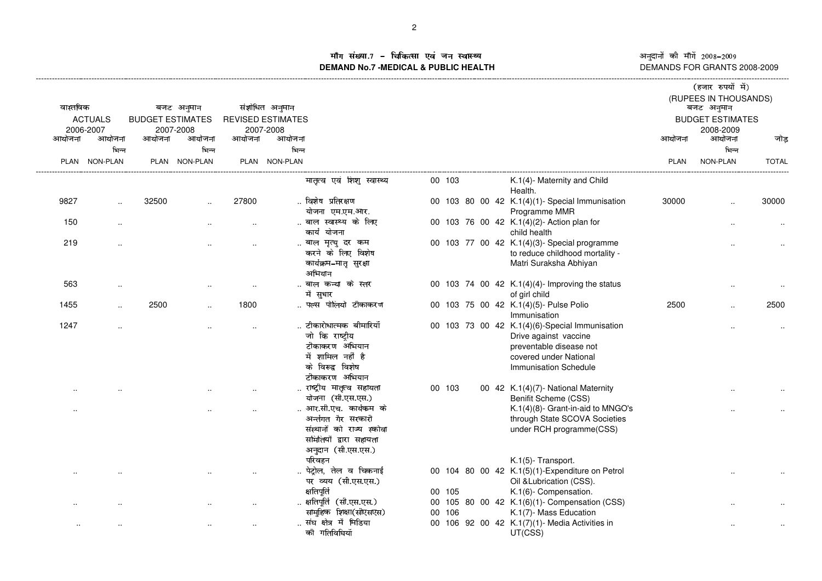माँग संख्या.7 – चिकित्सा एवं जन स्वास्थ्य<br>MAND.No.7.MEDICAL & DUBLIC HEALTH **DEMAND No.7 -MEDICAL & PUBLIC HEALTH**----------------------------------------------------------------------------------------------------------------------------------------------------------------------------------------------------------------------------------------------------------------------------------------------

अनुदानों की माँगें 2008–2009<br>DEMANDS FOR GRANTS 2008-2009

| वास्तविक<br><b>ACTUALS</b><br>2006-2007 |                      | बजट अनुमान<br><b>BUDGET ESTIMATES</b><br>2007-2008 |                      | संशोधित अनुमान<br><b>REVISED ESTIMATES</b><br>2007-2008 |                 |                                                                                                                          |        |  |                                                                                                                                                       |        | (हजार रुपयों में)<br>(RUPEES IN THOUSANDS)<br>बजट अनुमान<br><b>BUDGET ESTIMATES</b><br>2008-2009 |              |  |
|-----------------------------------------|----------------------|----------------------------------------------------|----------------------|---------------------------------------------------------|-----------------|--------------------------------------------------------------------------------------------------------------------------|--------|--|-------------------------------------------------------------------------------------------------------------------------------------------------------|--------|--------------------------------------------------------------------------------------------------|--------------|--|
| आयोजना                                  | आयोजना<br>भिन्न      | आयोजना                                             | आयोजना<br>भिन्न      | आयोजना                                                  | आयोजना<br>भिन्न |                                                                                                                          |        |  |                                                                                                                                                       | आयोजना | आयोजना                                                                                           | जोड़         |  |
|                                         | PLAN NON-PLAN        |                                                    | PLAN NON-PLAN        |                                                         | PLAN NON-PLAN   |                                                                                                                          |        |  |                                                                                                                                                       | PLAN   | भिन्न<br>NON-PLAN                                                                                | <b>TOTAL</b> |  |
|                                         |                      |                                                    |                      |                                                         |                 |                                                                                                                          |        |  |                                                                                                                                                       |        |                                                                                                  |              |  |
|                                         |                      |                                                    |                      |                                                         |                 | मातृत्व एवं शिशु स्वास्थ्य                                                                                               | 00 103 |  | K.1(4)- Maternity and Child<br>Health.                                                                                                                |        |                                                                                                  |              |  |
| 9827                                    |                      | 32500                                              |                      | 27800                                                   |                 | विशेष प्रतिरक्षण<br>योजना एम.एम.आर.                                                                                      |        |  | 00 103 80 00 42 K.1(4)(1)- Special Immunisation<br>Programme MMR                                                                                      | 30000  |                                                                                                  | 30000        |  |
| 150                                     | $\sim$               |                                                    |                      | $\ddotsc$                                               |                 | बाल स्वास्थ्य के लिए<br>कार्य योजना                                                                                      |        |  | 00 103 76 00 42 K.1(4)(2)- Action plan for<br>child health                                                                                            |        |                                                                                                  |              |  |
| 219                                     | $\ddot{\phantom{a}}$ |                                                    |                      |                                                         |                 | बाल मृत्यु दर कम<br>करने के लिए विशेष<br>कार्यक्रम–मातृ सुरक्षा<br>अभियान                                                |        |  | 00 103 77 00 42 K.1(4)(3)- Special programme<br>to reduce childhood mortality -<br>Matri Suraksha Abhiyan                                             |        |                                                                                                  |              |  |
| 563                                     | $\ddot{\phantom{a}}$ |                                                    |                      |                                                         |                 | बाल कन्या के स्तर<br>में सुधार                                                                                           |        |  | 00 103 74 00 42 K.1(4)(4)- Improving the status<br>of girl child                                                                                      |        | $\ddotsc$                                                                                        |              |  |
| 1455                                    | $\cdot$              | 2500                                               | $\ddotsc$            | 1800                                                    |                 | पल्स पोलियो टीकाकरण                                                                                                      |        |  | 00 103 75 00 42 K.1(4)(5)- Pulse Polio<br>Immunisation                                                                                                | 2500   |                                                                                                  | 2500         |  |
| 1247                                    |                      |                                                    |                      |                                                         |                 | टीकारोधात्मक बीमारियॉॅं<br>जो कि राष्ट्रीय<br>टीकाकरण अभियान<br>में शामिल नहीं है<br>के विरूद्व विशेष<br>टीकाकरण अभियान  |        |  | 00 103 73 00 42 K.1(4)(6)-Special Immunisation<br>Drive against vaccine<br>preventable disease not<br>covered under National<br>Immunisation Schedule |        |                                                                                                  |              |  |
|                                         |                      |                                                    |                      |                                                         |                 | राष्ट्रीय मातृत्व सहायता<br>योजना (सी.एस.एस.)                                                                            | 00 103 |  | 00 42 K.1(4)(7)- National Maternity<br>Benifit Scheme (CSS)                                                                                           |        |                                                                                                  |              |  |
| $\ddotsc$                               |                      |                                                    |                      |                                                         |                 | आर.सी.एच. कार्यकम के<br>अर्न्तगत गैर सरकारी<br>संस्थानों को राज्य स्कोवा<br>समितियों द्वारा सहायता<br>अनुदान (सी.एस.एस.) |        |  | K.1(4)(8)- Grant-in-aid to MNGO's<br>through State SCOVA Societies<br>under RCH programme(CSS)                                                        |        |                                                                                                  |              |  |
|                                         |                      |                                                    |                      |                                                         |                 | परिवहन<br>पेट्रोल, तेल व चिकनाई<br>पर व्यय (सी.एस.एस.)<br>क्षतिपूर्ति                                                    | 00 105 |  | K.1(5)- Transport.<br>00 104 80 00 42 K.1(5)(1)-Expenditure on Petrol<br>Oil & Lubrication (CSS).<br>K.1(6)- Compensation.                            |        |                                                                                                  |              |  |
|                                         |                      |                                                    | $\ddot{\phantom{a}}$ | $\ddot{\phantom{a}}$                                    |                 | क्षतिपूर्ति (सी.एस.एस.)<br>सामुहिक शिक्षा(सीएसएस)                                                                        | 00 106 |  | 00 105 80 00 42 K.1(6)(1)- Compensation (CSS)<br>K.1(7)- Mass Education                                                                               |        |                                                                                                  |              |  |
| $\sim$                                  |                      |                                                    | $\sim$               | $\cdot$ .                                               |                 | संघ क्षेत्र में मिडिया<br>की गतिविधियॉ                                                                                   |        |  | 00 106 92 00 42 K.1(7)(1)- Media Activities in<br>UT(CSS)                                                                                             |        | ٠.                                                                                               |              |  |
|                                         |                      |                                                    |                      |                                                         |                 |                                                                                                                          |        |  |                                                                                                                                                       |        |                                                                                                  |              |  |